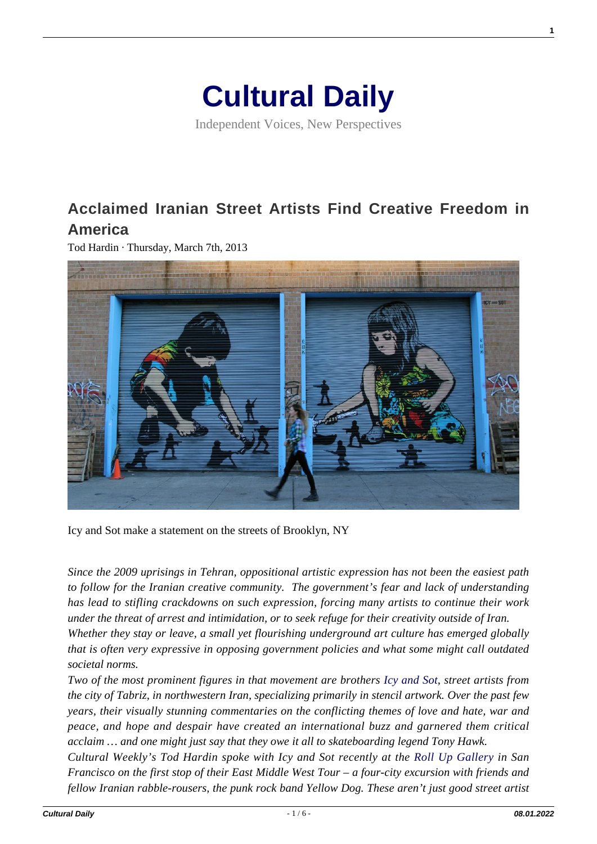# **[Cultural Daily](https://culturaldaily.com/)**

Independent Voices, New Perspectives

# **[Acclaimed Iranian Street Artists Find Creative Freedom in](https://culturaldaily.com/iranian-street-artists/) [America](https://culturaldaily.com/iranian-street-artists/)**

Tod Hardin · Thursday, March 7th, 2013



Icy and Sot make a statement on the streets of Brooklyn, NY

*Since the 2009 uprisings in Tehran, oppositional artistic expression has not been the easiest path to follow for the Iranian creative community. The government's fear and lack of understanding has lead to stifling crackdowns on such expression, forcing many artists to continue their work under the threat of arrest and intimidation, or to seek refuge for their creativity outside of Iran. Whether they stay or leave, a small yet flourishing underground art culture has emerged globally that is often very expressive in opposing government policies and what some might call outdated societal norms.*

*Two of the most prominent figures in that movement are brothers [Icy and Sot,](http://icyandsot.com/) street artists from the city of Tabriz, in northwestern Iran, specializing primarily in stencil artwork. Over the past few years, their visually stunning commentaries on the conflicting themes of love and hate, war and peace, and hope and despair have created an international buzz and garnered them critical acclaim … and one might just say that they owe it all to skateboarding legend Tony Hawk.*

*Cultural Weekly's Tod Hardin spoke with Icy and Sot recently at the [Roll Up Gallery](http://publicsf.com/gallery) in San Francisco on the first stop of their East Middle West Tour – a four-city excursion with friends and fellow Iranian rabble-rousers, the punk rock band Yellow Dog. These aren't just good street artist* **1**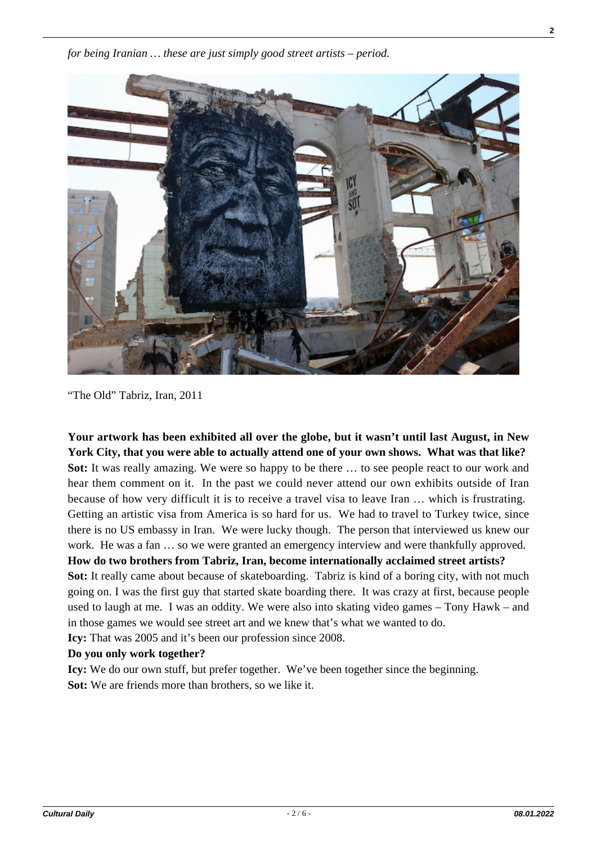

"The Old" Tabriz, Iran, 2011

**Your artwork has been exhibited all over the globe, but it wasn't until last August, in New York City, that you were able to actually attend one of your own shows. What was that like? Sot:** It was really amazing. We were so happy to be there ... to see people react to our work and hear them comment on it. In the past we could never attend our own exhibits outside of Iran because of how very difficult it is to receive a travel visa to leave Iran … which is frustrating. Getting an artistic visa from America is so hard for us. We had to travel to Turkey twice, since there is no US embassy in Iran. We were lucky though. The person that interviewed us knew our work. He was a fan … so we were granted an emergency interview and were thankfully approved. **How do two brothers from Tabriz, Iran, become internationally acclaimed street artists?** 

**Sot:** It really came about because of skateboarding. Tabriz is kind of a boring city, with not much going on. I was the first guy that started skate boarding there. It was crazy at first, because people used to laugh at me. I was an oddity. We were also into skating video games – Tony Hawk – and in those games we would see street art and we knew that's what we wanted to do.

**Icy:** That was 2005 and it's been our profession since 2008.

# **Do you only work together?**

**Icy:** We do our own stuff, but prefer together. We've been together since the beginning. **Sot:** We are friends more than brothers, so we like it.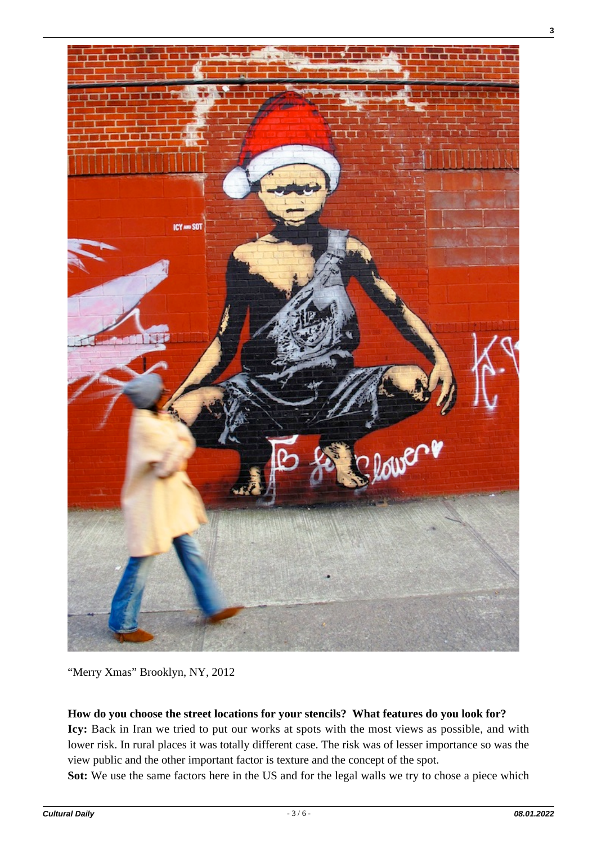

"Merry Xmas" Brooklyn, NY, 2012

# **How do you choose the street locations for your stencils? What features do you look for?**

**Icy:** Back in Iran we tried to put our works at spots with the most views as possible, and with lower risk. In rural places it was totally different case. The risk was of lesser importance so was the view public and the other important factor is texture and the concept of the spot.

**Sot:** We use the same factors here in the US and for the legal walls we try to chose a piece which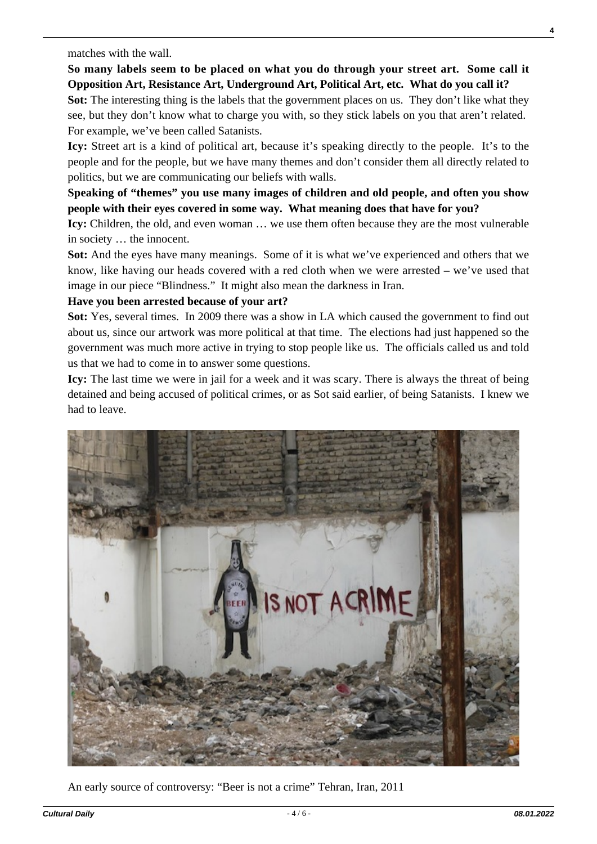**So many labels seem to be placed on what you do through your street art. Some call it Opposition Art, Resistance Art, Underground Art, Political Art, etc. What do you call it?**

**Sot:** The interesting thing is the labels that the government places on us. They don't like what they see, but they don't know what to charge you with, so they stick labels on you that aren't related. For example, we've been called Satanists.

**Icy:** Street art is a kind of political art, because it's speaking directly to the people. It's to the people and for the people, but we have many themes and don't consider them all directly related to politics, but we are communicating our beliefs with walls.

**Speaking of "themes" you use many images of children and old people, and often you show people with their eyes covered in some way. What meaning does that have for you?**

**Icy:** Children, the old, and even woman … we use them often because they are the most vulnerable in society … the innocent.

**Sot:** And the eyes have many meanings. Some of it is what we've experienced and others that we know, like having our heads covered with a red cloth when we were arrested – we've used that image in our piece "Blindness." It might also mean the darkness in Iran.

### **Have you been arrested because of your art?**

**Sot:** Yes, several times. In 2009 there was a show in LA which caused the government to find out about us, since our artwork was more political at that time. The elections had just happened so the government was much more active in trying to stop people like us. The officials called us and told us that we had to come in to answer some questions.

**Icy:** The last time we were in jail for a week and it was scary. There is always the threat of being detained and being accused of political crimes, or as Sot said earlier, of being Satanists. I knew we had to leave.



An early source of controversy: "Beer is not a crime" Tehran, Iran, 2011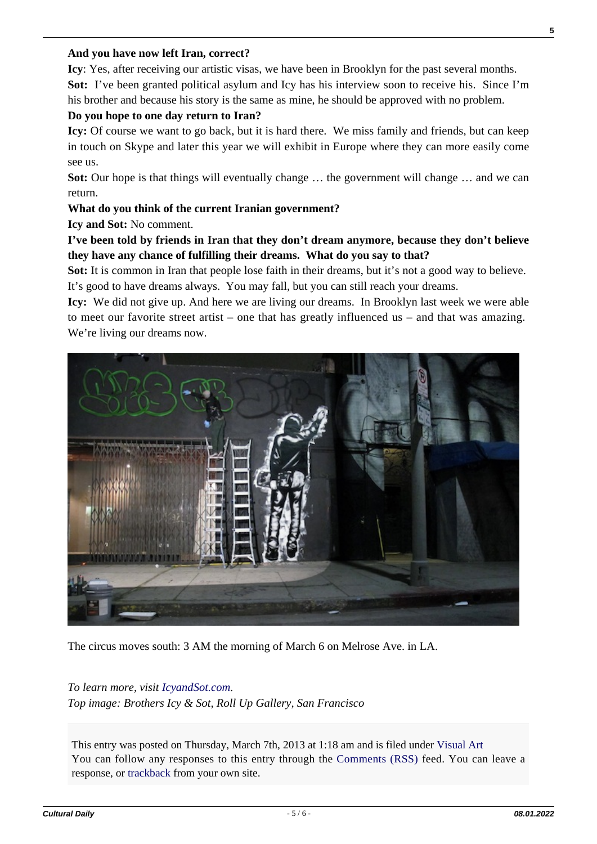#### **And you have now left Iran, correct?**

**Icy**: Yes, after receiving our artistic visas, we have been in Brooklyn for the past several months. **Sot:** I've been granted political asylum and Icy has his interview soon to receive his. Since I'm

his brother and because his story is the same as mine, he should be approved with no problem.

# **Do you hope to one day return to Iran?**

**Icy:** Of course we want to go back, but it is hard there. We miss family and friends, but can keep in touch on Skype and later this year we will exhibit in Europe where they can more easily come see us.

**Sot:** Our hope is that things will eventually change … the government will change … and we can return.

## **What do you think of the current Iranian government?**

**Icy and Sot:** No comment.

# **I've been told by friends in Iran that they don't dream anymore, because they don't believe they have any chance of fulfilling their dreams. What do you say to that?**

Sot: It is common in Iran that people lose faith in their dreams, but it's not a good way to believe. It's good to have dreams always. You may fall, but you can still reach your dreams.

**Icy:** We did not give up. And here we are living our dreams. In Brooklyn last week we were able to meet our favorite street artist – one that has greatly influenced us – and that was amazing. We're living our dreams now.



The circus moves south: 3 AM the morning of March 6 on Melrose Ave. in LA.

#### *To learn more, visit [IcyandSot.com.](http://icyandsot.com/)*

*Top image: Brothers Icy & Sot, Roll Up Gallery, San Francisco*

This entry was posted on Thursday, March 7th, 2013 at 1:18 am and is filed under [Visual Art](https://culturaldaily.com/category/visual-art/) You can follow any responses to this entry through the [Comments \(RSS\)](https://culturaldaily.com/comments/feed/) feed. You can leave a response, or [trackback](https://culturaldaily.com/iranian-street-artists/trackback/) from your own site.